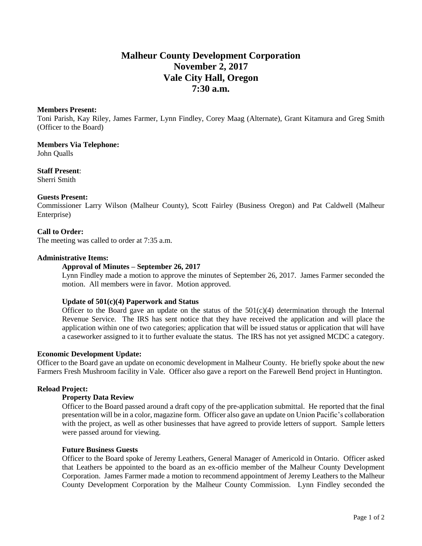# **Malheur County Development Corporation November 2, 2017 Vale City Hall, Oregon 7:30 a.m.**

#### **Members Present:**

Toni Parish, Kay Riley, James Farmer, Lynn Findley, Corey Maag (Alternate), Grant Kitamura and Greg Smith (Officer to the Board)

## **Members Via Telephone:**

John Qualls

## **Staff Present**:

Sherri Smith

## **Guests Present:**

Commissioner Larry Wilson (Malheur County), Scott Fairley (Business Oregon) and Pat Caldwell (Malheur Enterprise)

# **Call to Order:**

The meeting was called to order at 7:35 a.m.

#### **Administrative Items:**

#### **Approval of Minutes – September 26, 2017**

Lynn Findley made a motion to approve the minutes of September 26, 2017. James Farmer seconded the motion. All members were in favor. Motion approved.

## **Update of 501(c)(4) Paperwork and Status**

Officer to the Board gave an update on the status of the  $501(c)(4)$  determination through the Internal Revenue Service. The IRS has sent notice that they have received the application and will place the application within one of two categories; application that will be issued status or application that will have a caseworker assigned to it to further evaluate the status. The IRS has not yet assigned MCDC a category.

#### **Economic Development Update:**

Officer to the Board gave an update on economic development in Malheur County. He briefly spoke about the new Farmers Fresh Mushroom facility in Vale. Officer also gave a report on the Farewell Bend project in Huntington.

## **Reload Project:**

## **Property Data Review**

Officer to the Board passed around a draft copy of the pre-application submittal. He reported that the final presentation will be in a color, magazine form. Officer also gave an update on Union Pacific's collaboration with the project, as well as other businesses that have agreed to provide letters of support. Sample letters were passed around for viewing.

#### **Future Business Guests**

Officer to the Board spoke of Jeremy Leathers, General Manager of Americold in Ontario. Officer asked that Leathers be appointed to the board as an ex-officio member of the Malheur County Development Corporation. James Farmer made a motion to recommend appointment of Jeremy Leathers to the Malheur County Development Corporation by the Malheur County Commission. Lynn Findley seconded the